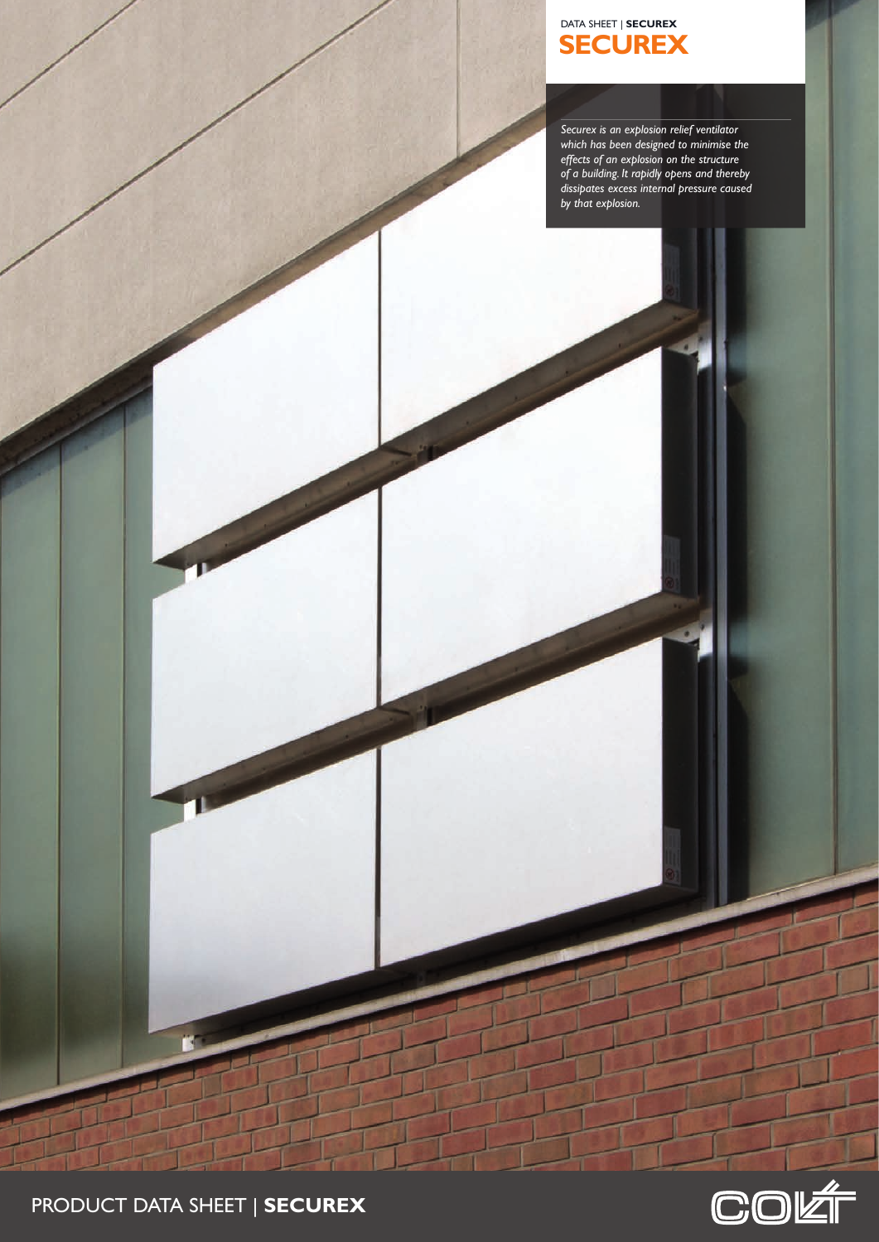# **SECUREX** DATA SHEET | **SECUREX**

*Securex is an explosion relief ventilator which has been designed to minimise the effects of an explosion on the structure of a building. It rapidly opens and thereby dissipates excess internal pressure caused by that explosion.*



 $\overline{\mathbf{1}}$